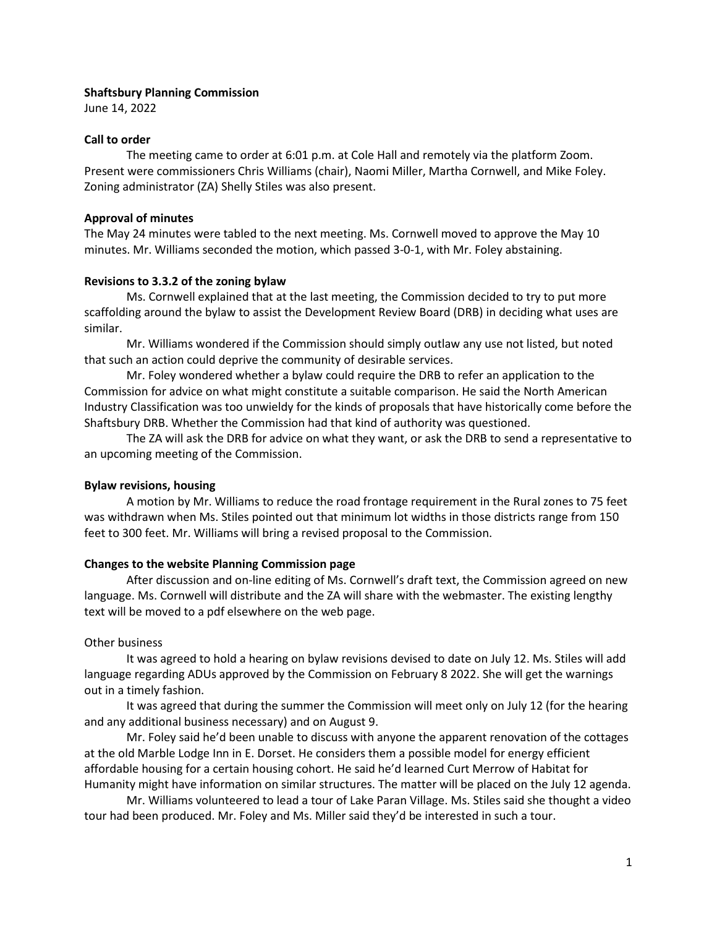# **Shaftsbury Planning Commission**

June 14, 2022

### **Call to order**

The meeting came to order at 6:01 p.m. at Cole Hall and remotely via the platform Zoom. Present were commissioners Chris Williams (chair), Naomi Miller, Martha Cornwell, and Mike Foley. Zoning administrator (ZA) Shelly Stiles was also present.

# **Approval of minutes**

The May 24 minutes were tabled to the next meeting. Ms. Cornwell moved to approve the May 10 minutes. Mr. Williams seconded the motion, which passed 3-0-1, with Mr. Foley abstaining.

### **Revisions to 3.3.2 of the zoning bylaw**

Ms. Cornwell explained that at the last meeting, the Commission decided to try to put more scaffolding around the bylaw to assist the Development Review Board (DRB) in deciding what uses are similar.

Mr. Williams wondered if the Commission should simply outlaw any use not listed, but noted that such an action could deprive the community of desirable services.

Mr. Foley wondered whether a bylaw could require the DRB to refer an application to the Commission for advice on what might constitute a suitable comparison. He said the North American Industry Classification was too unwieldy for the kinds of proposals that have historically come before the Shaftsbury DRB. Whether the Commission had that kind of authority was questioned.

The ZA will ask the DRB for advice on what they want, or ask the DRB to send a representative to an upcoming meeting of the Commission.

#### **Bylaw revisions, housing**

A motion by Mr. Williams to reduce the road frontage requirement in the Rural zones to 75 feet was withdrawn when Ms. Stiles pointed out that minimum lot widths in those districts range from 150 feet to 300 feet. Mr. Williams will bring a revised proposal to the Commission.

# **Changes to the website Planning Commission page**

After discussion and on-line editing of Ms. Cornwell's draft text, the Commission agreed on new language. Ms. Cornwell will distribute and the ZA will share with the webmaster. The existing lengthy text will be moved to a pdf elsewhere on the web page.

# Other business

It was agreed to hold a hearing on bylaw revisions devised to date on July 12. Ms. Stiles will add language regarding ADUs approved by the Commission on February 8 2022. She will get the warnings out in a timely fashion.

It was agreed that during the summer the Commission will meet only on July 12 (for the hearing and any additional business necessary) and on August 9.

Mr. Foley said he'd been unable to discuss with anyone the apparent renovation of the cottages at the old Marble Lodge Inn in E. Dorset. He considers them a possible model for energy efficient affordable housing for a certain housing cohort. He said he'd learned Curt Merrow of Habitat for Humanity might have information on similar structures. The matter will be placed on the July 12 agenda.

Mr. Williams volunteered to lead a tour of Lake Paran Village. Ms. Stiles said she thought a video tour had been produced. Mr. Foley and Ms. Miller said they'd be interested in such a tour.